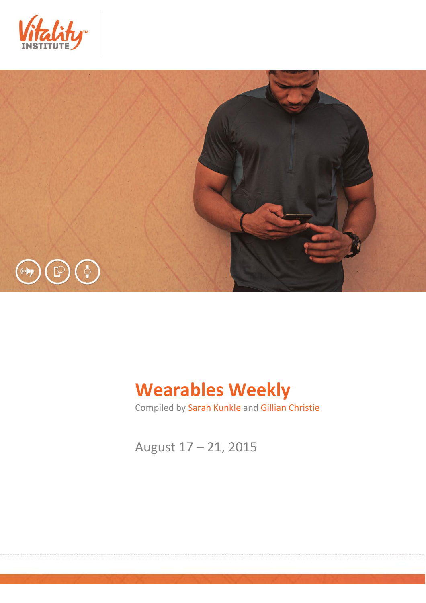



# **Wearables Weekly**

Compiled by Sarah Kunkle and Gillian Christie

August 17 – 21, 2015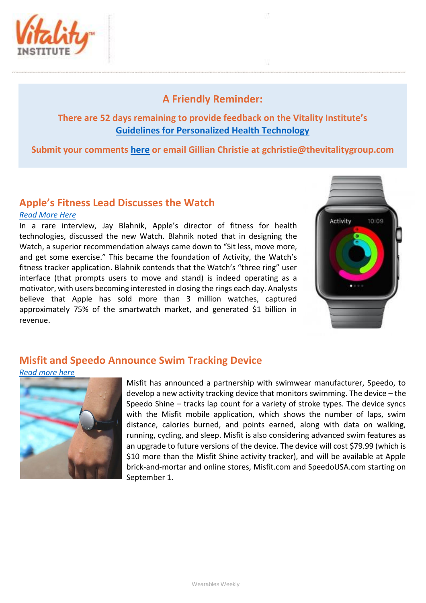

# **A Friendly Reminder:**

## **There are 52 days remaining to provide feedback on the Vitality Institute's [Guidelines for Personalized Health Technology](http://thevitalityinstitute.org/site/wp-content/uploads/2015/07/Responsibility-Guidelines-for-Personalized-Health-Technology.pdf)**

**Submit your comments [here](http://thevitalityinstitute.org/projects/personalized-health-technology/public-consultation/) or email Gillian Christie at [gchristie@thevitalitygroup.com](mailto:gchristie@thevitalitygroup.com?subject=Wearables%20Weekly%20Feedback)**

## **Apple's Fitness Lead Discusses the Watch**

#### *[Read More Here](http://www.outsideonline.com/2006026/apple-watch-fitness-review)*

In a rare interview, Jay Blahnik, Apple's director of fitness for health technologies, discussed the new Watch. Blahnik noted that in designing the Watch, a superior recommendation always came down to "Sit less, move more, and get some exercise." This became the foundation of Activity, the Watch's fitness tracker application. Blahnik contends that the Watch's "three ring" user interface (that prompts users to move and stand) is indeed operating as a motivator, with users becoming interested in closing the rings each day. Analysts believe that Apple has sold more than 3 million watches, captured approximately 75% of the smartwatch market, and generated \$1 billion in revenue.



# **Misfit and Speedo Announce Swim Tracking Device**

#### *[Read more here](http://mobihealthnews.com/46132/misfit-speedo-announce-new-fitness-tracking-device-for-swimming/)*



Misfit has announced a partnership with swimwear manufacturer, Speedo, to develop a new activity tracking device that monitors swimming. The device – the Speedo Shine – tracks lap count for a variety of stroke types. The device syncs with the Misfit mobile application, which shows the number of laps, swim distance, calories burned, and points earned, along with data on walking, running, cycling, and sleep. Misfit is also considering advanced swim features as an upgrade to future versions of the device. The device will cost \$79.99 (which is \$10 more than the Misfit Shine activity tracker), and will be available at Apple brick-and-mortar and online stores, Misfit.com and SpeedoUSA.com starting on September 1.